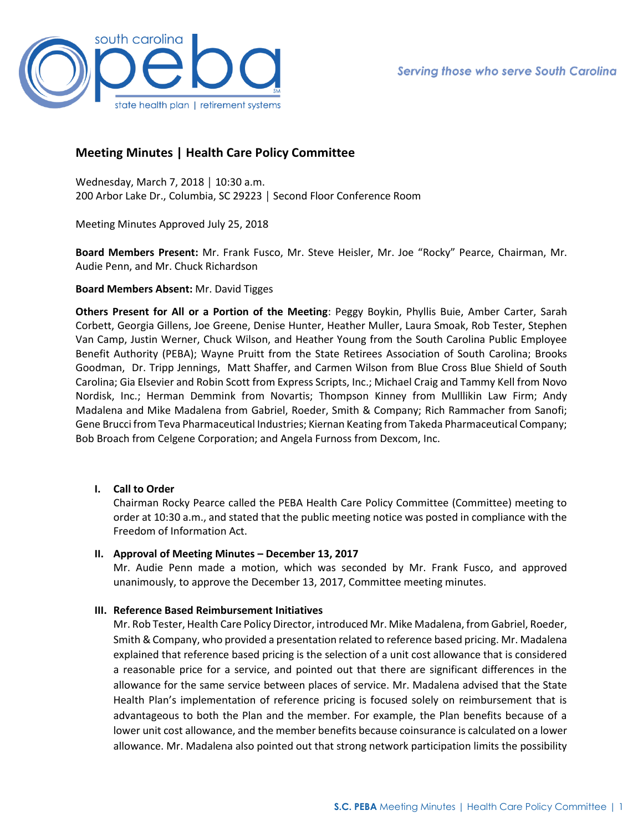

# **Meeting Minutes | Health Care Policy Committee**

Wednesday, March 7, 2018 │ 10:30 a.m. 200 Arbor Lake Dr., Columbia, SC 29223 │ Second Floor Conference Room

Meeting Minutes Approved July 25, 2018

**Board Members Present:** Mr. Frank Fusco, Mr. Steve Heisler, Mr. Joe "Rocky" Pearce, Chairman, Mr. Audie Penn, and Mr. Chuck Richardson

## **Board Members Absent:** Mr. David Tigges

**Others Present for All or a Portion of the Meeting**: Peggy Boykin, Phyllis Buie, Amber Carter, Sarah Corbett, Georgia Gillens, Joe Greene, Denise Hunter, Heather Muller, Laura Smoak, Rob Tester, Stephen Van Camp, Justin Werner, Chuck Wilson, and Heather Young from the South Carolina Public Employee Benefit Authority (PEBA); Wayne Pruitt from the State Retirees Association of South Carolina; Brooks Goodman, Dr. Tripp Jennings, Matt Shaffer, and Carmen Wilson from Blue Cross Blue Shield of South Carolina; Gia Elsevier and Robin Scott from Express Scripts, Inc.; Michael Craig and Tammy Kell from Novo Nordisk, Inc.; Herman Demmink from Novartis; Thompson Kinney from Mulllikin Law Firm; Andy Madalena and Mike Madalena from Gabriel, Roeder, Smith & Company; Rich Rammacher from Sanofi; Gene Brucci from Teva Pharmaceutical Industries; Kiernan Keating from Takeda Pharmaceutical Company; Bob Broach from Celgene Corporation; and Angela Furnoss from Dexcom, Inc.

## **I. Call to Order**

Chairman Rocky Pearce called the PEBA Health Care Policy Committee (Committee) meeting to order at 10:30 a.m., and stated that the public meeting notice was posted in compliance with the Freedom of Information Act.

## **II. Approval of Meeting Minutes – December 13, 2017**

Mr. Audie Penn made a motion, which was seconded by Mr. Frank Fusco, and approved unanimously, to approve the December 13, 2017, Committee meeting minutes.

## **III. Reference Based Reimbursement Initiatives**

Mr. Rob Tester, Health Care Policy Director, introduced Mr. Mike Madalena, from Gabriel, Roeder, Smith & Company, who provided a presentation related to reference based pricing. Mr. Madalena explained that reference based pricing is the selection of a unit cost allowance that is considered a reasonable price for a service, and pointed out that there are significant differences in the allowance for the same service between places of service. Mr. Madalena advised that the State Health Plan's implementation of reference pricing is focused solely on reimbursement that is advantageous to both the Plan and the member. For example, the Plan benefits because of a lower unit cost allowance, and the member benefits because coinsurance is calculated on a lower allowance. Mr. Madalena also pointed out that strong network participation limits the possibility